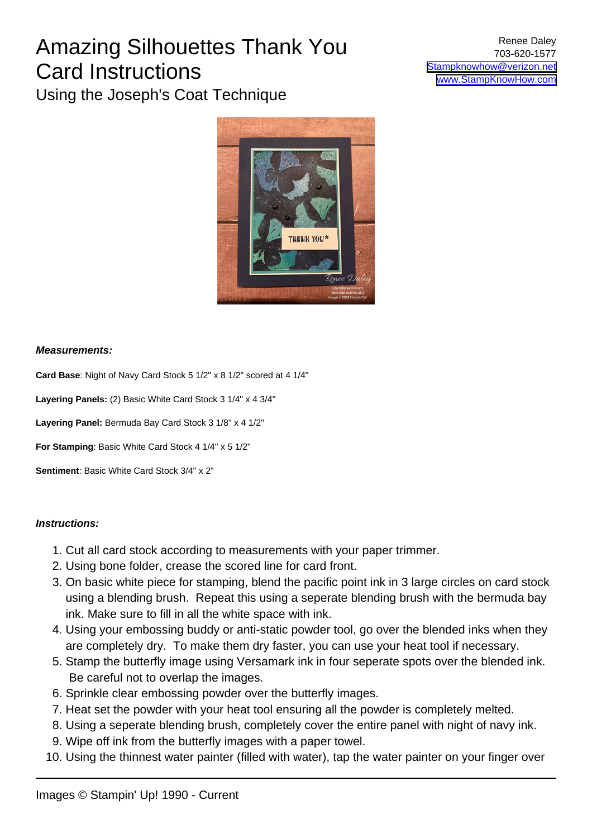### Amazing Silhouettes Thank You Card Instructions Using the Joseph's Coat Technique

### **Measurements:**

**Card Base**: Night of Navy Card Stock 5 1/2" x 8 1/2" scored at 4 1/4"

**Layering Panels:** (2) Basic White Card Stock 3 1/4" x 4 3/4"

**Layering Panel:** Bermuda Bay Card Stock 3 1/8" x 4 1/2"

**For Stamping**: Basic White Card Stock 4 1/4" x 5 1/2"

**Sentiment**: Basic White Card Stock 3/4" x 2"

#### **Instructions:**

- 1. Cut all card stock according to measurements with your paper trimmer.
- 2. Using bone folder, crease the scored line for card front.
- 3. On basic white piece for stamping, blend the pacific point ink in 3 large circles on card stock using a blending brush. Repeat this using a seperate blending brush with the bermuda bay ink. Make sure to fill in all the white space with ink.
- 4. Using your embossing buddy or anti-static powder tool, go over the blended inks when they are completely dry. To make them dry faster, you can use your heat tool if necessary.
- 5. Stamp the butterfly image using Versamark ink in four seperate spots over the blended ink. Be careful not to overlap the images.
- 6. Sprinkle clear embossing powder over the butterfly images.
- 7. Heat set the powder with your heat tool ensuring all the powder is completely melted.
- 8. Using a seperate blending brush, completely cover the entire panel with night of navy ink.
- 9. Wipe off ink from the butterfly images with a paper towel.
- 10. Using the thinnest water painter (filled with water), tap the water painter on your finger over

Renee Daley 703-620-1577 [Stampknowhow@verizon.net](mailto:Stampknowhow@verizon.net) [www.StampKnowHow.com](http://www.StampKnowHow.com)

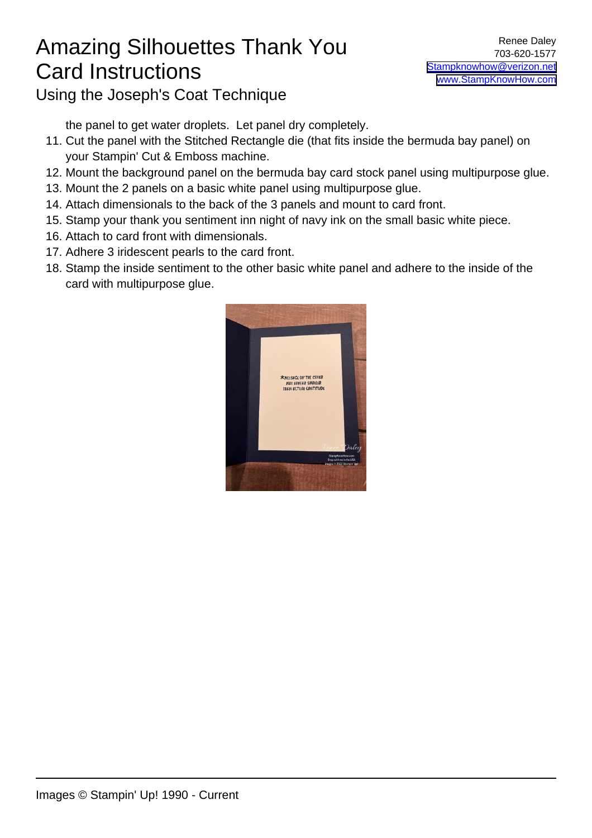# Amazing Silhouettes Thank You Card Instructions

Using the Joseph's Coat Technique

the panel to get water droplets. Let panel dry completely.

- 11. Cut the panel with the Stitched Rectangle die (that fits inside the bermuda bay panel) on your Stampin' Cut & Emboss machine.
- 12. Mount the background panel on the bermuda bay card stock panel using multipurpose glue.
- 13. Mount the 2 panels on a basic white panel using multipurpose glue.
- 14. Attach dimensionals to the back of the 3 panels and mount to card front.
- 15. Stamp your thank you sentiment inn night of navy ink on the small basic white piece.
- 16. Attach to card front with dimensionals.
- 17. Adhere 3 iridescent pearls to the card front.
- 18. Stamp the inside sentiment to the other basic white panel and adhere to the inside of the card with multipurpose glue.

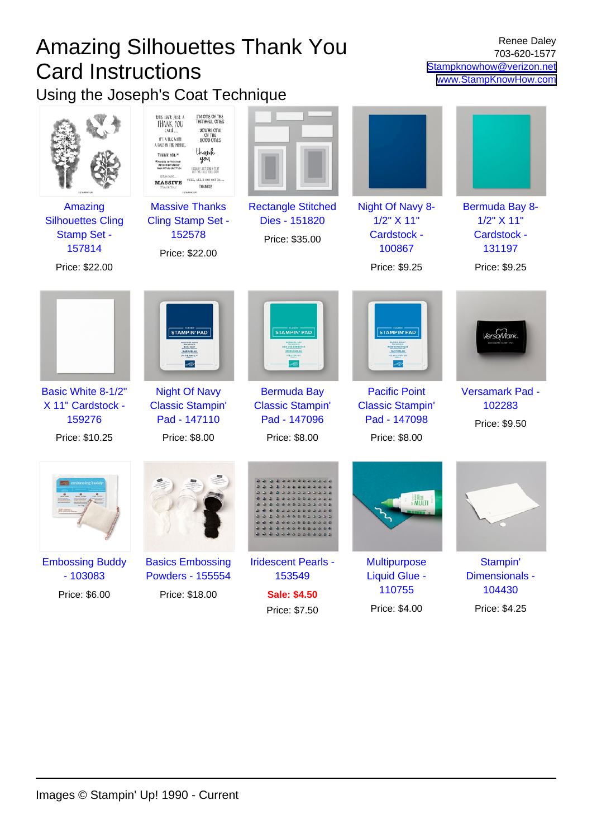| <b>Amazing Silhouettes Thank You</b><br><b>Card Instructions</b>                      |                                                                                                                                                                                                                                                                                                                                                                                                             |                                                               | <b>Renee Daley</b><br>703-620-1577<br>Stampknowhow@verizon.net<br>www.StampKnowHow.com |                                                                        |
|---------------------------------------------------------------------------------------|-------------------------------------------------------------------------------------------------------------------------------------------------------------------------------------------------------------------------------------------------------------------------------------------------------------------------------------------------------------------------------------------------------------|---------------------------------------------------------------|----------------------------------------------------------------------------------------|------------------------------------------------------------------------|
| Using the Joseph's Coat Technique                                                     | I'M ONE OF THE<br>this isn't just A<br>THANKFUL ONES<br>THANK YOU<br><b>SULLES OUR</b><br>ARd<br>Of THE<br>800D ONES<br>IT'S A HUG WITH<br>A FOLD IN THE MIDDLE.<br>thank<br>THANK YOU*<br>you<br><b>* MISSIGE ON THE COVER</b><br><b>PEY ESELED SPEELER</b><br>INEW ECTUEL GRETITUDE<br>USUALLY JUST SEND A TEXT<br>UT THIS CALLS FOR A CARD<br><b>FELL, ALL I CAN SAY IS</b><br><b>MASSIVE</b><br>THANKS! |                                                               |                                                                                        |                                                                        |
| Amazing<br><b>Silhouettes Cling</b><br><b>Stamp Set -</b><br>157814<br>Price: \$22.00 | <b>Massive Thanks</b><br>Cling Stamp Set -<br>152578<br>Price: \$22.00                                                                                                                                                                                                                                                                                                                                      | <b>Rectangle Stitched</b><br>Dies - 151820<br>Price: \$35.00  | Night Of Navy 8-<br>1/2" X 11"<br>Cardstock -<br>100867<br>Price: \$9.25               | Bermuda Bay 8-<br>1/2" X 11"<br>Cardstock -<br>131197<br>Price: \$9.25 |
|                                                                                       | <b>STAMPIN' PAD'</b><br><b>CHEZACK-</b><br>$\sigma_{\rm{UV}}$                                                                                                                                                                                                                                                                                                                                               | <b>STAMPIN' PAD</b>                                           | <b>STAMPIN' PAD</b><br>フィック・ポイン                                                        |                                                                        |
| Basic White 8-1/2"<br>X 11" Cardstock -<br>159276                                     | <b>Night Of Navy</b><br><b>Classic Stampin'</b><br>Pad - 147110                                                                                                                                                                                                                                                                                                                                             | <b>Bermuda Bay</b><br><b>Classic Stampin'</b><br>Pad - 147096 | <b>Pacific Point</b><br><b>Classic Stampin'</b><br>Pad - 147098                        | <b>Versamark Pad -</b><br>102283<br>Price: \$9.50                      |
| Price: \$10.25                                                                        | Price: \$8.00                                                                                                                                                                                                                                                                                                                                                                                               | Price: \$8.00<br>.                                            | Price: \$8.00<br>MULTI                                                                 |                                                                        |
| <b>Embossing Buddy</b><br>$-103083$<br>Price: \$6.00                                  | <b>Basics Embossing</b><br><b>Powders - 155554</b><br>Price: \$18.00                                                                                                                                                                                                                                                                                                                                        | <b>Iridescent Pearls -</b><br>153549<br><b>Sale: \$4.50</b>   | <b>Multipurpose</b><br><b>Liquid Glue -</b><br>110755                                  | Stampin'<br>Dimensionals -<br>104430                                   |

Price: \$7.50

Price: \$4.00 Price: \$4.25